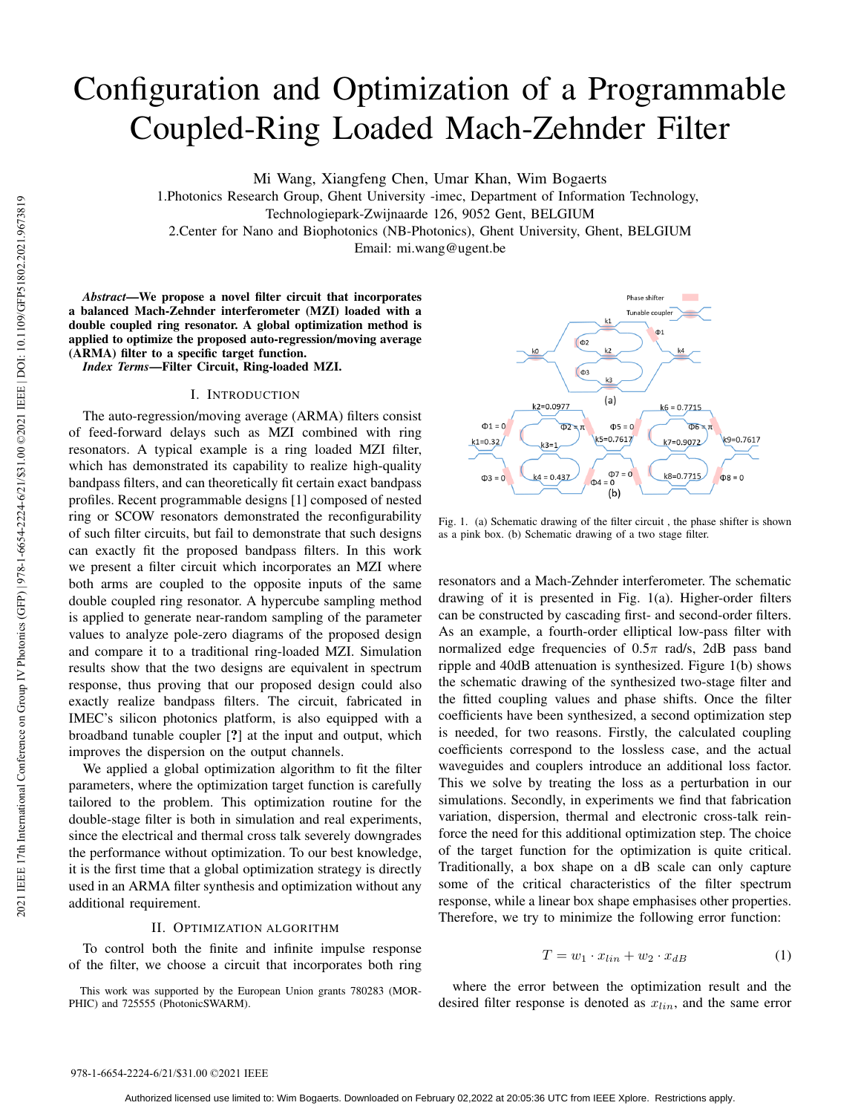# Configuration and Optimization of a Programmable Coupled-Ring Loaded Mach-Zehnder Filter

Mi Wang, Xiangfeng Chen, Umar Khan, Wim Bogaerts

1.Photonics Research Group, Ghent University -imec, Department of Information Technology,

2.Center for Nano and Biophotonics (NB-Photonics), Ghent University, Ghent, BELGIUM

Email: mi.wang@ugent.be

*Abstract*—We propose a novel filter circuit that incorporates a balanced Mach-Zehnder interferometer (MZI) loaded with a double coupled ring resonator. A global optimization method is applied to optimize the proposed auto-regression/moving average (ARMA) filter to a specific target function.

*Index Terms*—Filter Circuit, Ring-loaded MZI.

## I. INTRODUCTION

The auto-regression/moving average (ARMA) filters consist of feed-forward delays such as MZI combined with ring resonators. A typical example is a ring loaded MZI filter, which has demonstrated its capability to realize high-quality bandpass filters, and can theoretically fit certain exact bandpass profiles. Recent programmable designs [1] composed of nested ring or SCOW resonators demonstrated the reconfigurability of such filter circuits, but fail to demonstrate that such designs can exactly fit the proposed bandpass filters. In this work we present a filter circuit which incorporates an MZI where both arms are coupled to the opposite inputs of the same double coupled ring resonator. A hypercube sampling method is applied to generate near-random sampling of the parameter values to analyze pole-zero diagrams of the proposed design and compare it to a traditional ring-loaded MZI. Simulation results show that the two designs are equivalent in spectrum response, thus proving that our proposed design could also exactly realize bandpass filters. The circuit, fabricated in IMEC's silicon photonics platform, is also equipped with a broadband tunable coupler [?] at the input and output, which improves the dispersion on the output channels. 1. Thotomes reeserved and about the conference of a notice of a notice of a notice of a notice of a notice of a notice of a notice of a notice of  $I$  and the conference of  $I$  and  $I$  and  $I$  are  $I$  and  $I$  are  $I$  and

We applied a global optimization algorithm to fit the filter parameters, where the optimization target function is carefully tailored to the problem. This optimization routine for the double-stage filter is both in simulation and real experiments, since the electrical and thermal cross talk severely downgrades the performance without optimization. To our best knowledge, it is the first time that a global optimization strategy is directly used in an ARMA filter synthesis and optimization without any additional requirement.

### II. OPTIMIZATION ALGORITHM

To control both the finite and infinite impulse response of the filter, we choose a circuit that incorporates both ring

This work was supported by the European Union grants 780283 (MOR-PHIC) and 725555 (PhotonicSWARM).



Fig. 1. (a) Schematic drawing of the filter circuit , the phase shifter is shown as a pink box. (b) Schematic drawing of a two stage filter.

resonators and a Mach-Zehnder interferometer. The schematic drawing of it is presented in Fig. 1(a). Higher-order filters can be constructed by cascading first- and second-order filters. As an example, a fourth-order elliptical low-pass filter with normalized edge frequencies of  $0.5\pi$  rad/s, 2dB pass band ripple and 40dB attenuation is synthesized. Figure 1(b) shows the schematic drawing of the synthesized two-stage filter and the fitted coupling values and phase shifts. Once the filter coefficients have been synthesized, a second optimization step is needed, for two reasons. Firstly, the calculated coupling coefficients correspond to the lossless case, and the actual waveguides and couplers introduce an additional loss factor. This we solve by treating the loss as a perturbation in our simulations. Secondly, in experiments we find that fabrication variation, dispersion, thermal and electronic cross-talk reinforce the need for this additional optimization step. The choice of the target function for the optimization is quite critical. Traditionally, a box shape on a dB scale can only capture some of the critical characteristics of the filter spectrum response, while a linear box shape emphasises other properties. Therefore, we try to minimize the following error function:

$$
T = w_1 \cdot x_{lin} + w_2 \cdot x_{dB} \tag{1}
$$

where the error between the optimization result and the desired filter response is denoted as  $x_{lin}$ , and the same error

Technologiepark-Zwijnaarde 126, 9052 Gent, BELGIUM